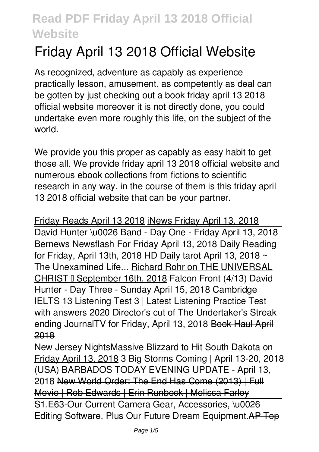# **Friday April 13 2018 Official Website**

As recognized, adventure as capably as experience practically lesson, amusement, as competently as deal can be gotten by just checking out a book **friday april 13 2018 official website** moreover it is not directly done, you could undertake even more roughly this life, on the subject of the world.

We provide you this proper as capably as easy habit to get those all. We provide friday april 13 2018 official website and numerous ebook collections from fictions to scientific research in any way. in the course of them is this friday april 13 2018 official website that can be your partner.

Friday Reads April 13 2018 iNews Friday April 13, 2018 David Hunter \u0026 Band - Day One - Friday April 13, 2018 Bernews Newsflash For Friday April 13, 2018 Daily Reading for Friday, April 13th, 2018 HD Daily tarot April 13, 2018 ~ The Unexamined Life... Richard Rohr on THE UNIVERSAL CHRIST – September 16th, 2018 **Falcon Front (4/13)** *David Hunter - Day Three - Sunday April 15, 2018 Cambridge IELTS 13 Listening Test 3 | Latest Listening Practice Test with answers 2020* **Director's cut of The Undertaker's Streak ending** *JournalTV for Friday, April 13, 2018* Book Haul April 2018

New Jersey NightsMassive Blizzard to Hit South Dakota on Friday April 13, 2018 3 Big Storms Coming | April 13-20, 2018 (USA) BARBADOS TODAY EVENING UPDATE - April 13, 2018 New World Order: The End Has Come (2013) | Full Movie | Rob Edwards | Erin Runbeck | Melissa Farley S1.E63-Our Current Camera Gear, Accessories, \u0026 Editing Software. Plus Our Future Dream Equipment.AP Top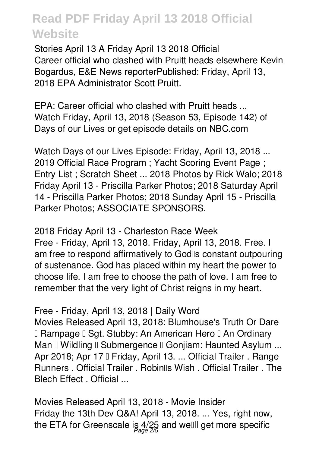Stories April 13 A **Friday April 13 2018 Official** Career official who clashed with Pruitt heads elsewhere Kevin Bogardus, E&E News reporterPublished: Friday, April 13, 2018 EPA Administrator Scott Pruitt.

**EPA: Career official who clashed with Pruitt heads ...** Watch Friday, April 13, 2018 (Season 53, Episode 142) of Days of our Lives or get episode details on NBC.com

**Watch Days of our Lives Episode: Friday, April 13, 2018 ...** 2019 Official Race Program ; Yacht Scoring Event Page ; Entry List ; Scratch Sheet ... 2018 Photos by Rick Walo; 2018 Friday April 13 - Priscilla Parker Photos; 2018 Saturday April 14 - Priscilla Parker Photos; 2018 Sunday April 15 - Priscilla Parker Photos; ASSOCIATE SPONSORS.

**2018 Friday April 13 - Charleston Race Week** Free - Friday, April 13, 2018. Friday, April 13, 2018. Free. I am free to respond affirmatively to God<sup>®</sup>s constant outpouring of sustenance. God has placed within my heart the power to choose life. I am free to choose the path of love. I am free to remember that the very light of Christ reigns in my heart.

**Free - Friday, April 13, 2018 | Daily Word**

Movies Released April 13, 2018: Blumhouse's Truth Or Dare I Rampage I Sgt. Stubby: An American Hero I An Ordinary Man  $\mathbb I$  Wildling  $\mathbb I$  Submergence  $\mathbb I$  Gonjiam: Haunted Asylum ... Apr 2018; Apr 17 I Friday, April 13. ... Official Trailer . Range Runners . Official Trailer . Robin<sup>®</sup>s Wish . Official Trailer . The Blech Effect . Official ...

**Movies Released April 13, 2018 - Movie Insider** Friday the 13th Dev Q&A! April 13, 2018. ... Yes, right now, the ETA for Greenscale is 4/25 and we⊞l get more specific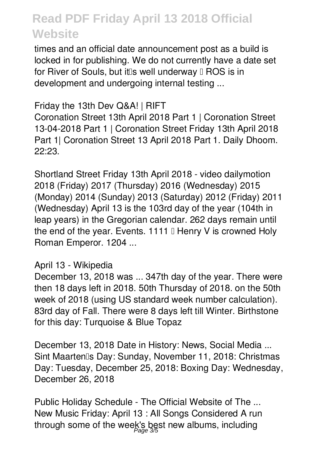times and an official date announcement post as a build is locked in for publishing. We do not currently have a date set for River of Souls, but it is well underway  $\mathbb I$  ROS is in development and undergoing internal testing ...

**Friday the 13th Dev Q&A! | RIFT**

Coronation Street 13th April 2018 Part 1 | Coronation Street 13-04-2018 Part 1 | Coronation Street Friday 13th April 2018 Part 1| Coronation Street 13 April 2018 Part 1. Daily Dhoom. 22:23.

**Shortland Street Friday 13th April 2018 - video dailymotion** 2018 (Friday) 2017 (Thursday) 2016 (Wednesday) 2015 (Monday) 2014 (Sunday) 2013 (Saturday) 2012 (Friday) 2011 (Wednesday) April 13 is the 103rd day of the year (104th in leap years) in the Gregorian calendar. 262 days remain until the end of the year. Events. 1111  $\mathbb I$  Henry V is crowned Holy Roman Emperor. 1204 ...

#### **April 13 - Wikipedia**

December 13, 2018 was ... 347th day of the year. There were then 18 days left in 2018. 50th Thursday of 2018. on the 50th week of 2018 (using US standard week number calculation). 83rd day of Fall. There were 8 days left till Winter. Birthstone for this day: Turquoise & Blue Topaz

**December 13, 2018 Date in History: News, Social Media ...** Sint Maartenlls Day: Sunday, November 11, 2018: Christmas Day: Tuesday, December 25, 2018: Boxing Day: Wednesday, December 26, 2018

**Public Holiday Schedule - The Official Website of The ...** New Music Friday: April 13 : All Songs Considered A run through some of the week's best new albums, including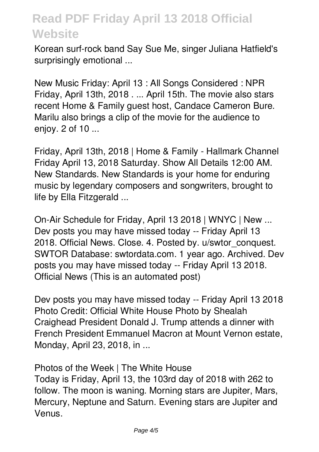Korean surf-rock band Say Sue Me, singer Juliana Hatfield's surprisingly emotional ...

**New Music Friday: April 13 : All Songs Considered : NPR** Friday, April 13th, 2018 . ... April 15th. The movie also stars recent Home & Family guest host, Candace Cameron Bure. Marilu also brings a clip of the movie for the audience to enjoy. 2 of 10 ...

**Friday, April 13th, 2018 | Home & Family - Hallmark Channel** Friday April 13, 2018 Saturday. Show All Details 12:00 AM. New Standards. New Standards is your home for enduring music by legendary composers and songwriters, brought to life by Ella Fitzgerald ...

**On-Air Schedule for Friday, April 13 2018 | WNYC | New ...** Dev posts you may have missed today -- Friday April 13 2018. Official News. Close. 4. Posted by. u/swtor\_conquest. SWTOR Database: swtordata.com. 1 year ago. Archived. Dev posts you may have missed today -- Friday April 13 2018. Official News (This is an automated post)

**Dev posts you may have missed today -- Friday April 13 2018** Photo Credit: Official White House Photo by Shealah Craighead President Donald J. Trump attends a dinner with French President Emmanuel Macron at Mount Vernon estate, Monday, April 23, 2018, in ...

**Photos of the Week | The White House**

Today is Friday, April 13, the 103rd day of 2018 with 262 to follow. The moon is waning. Morning stars are Jupiter, Mars, Mercury, Neptune and Saturn. Evening stars are Jupiter and Venus.